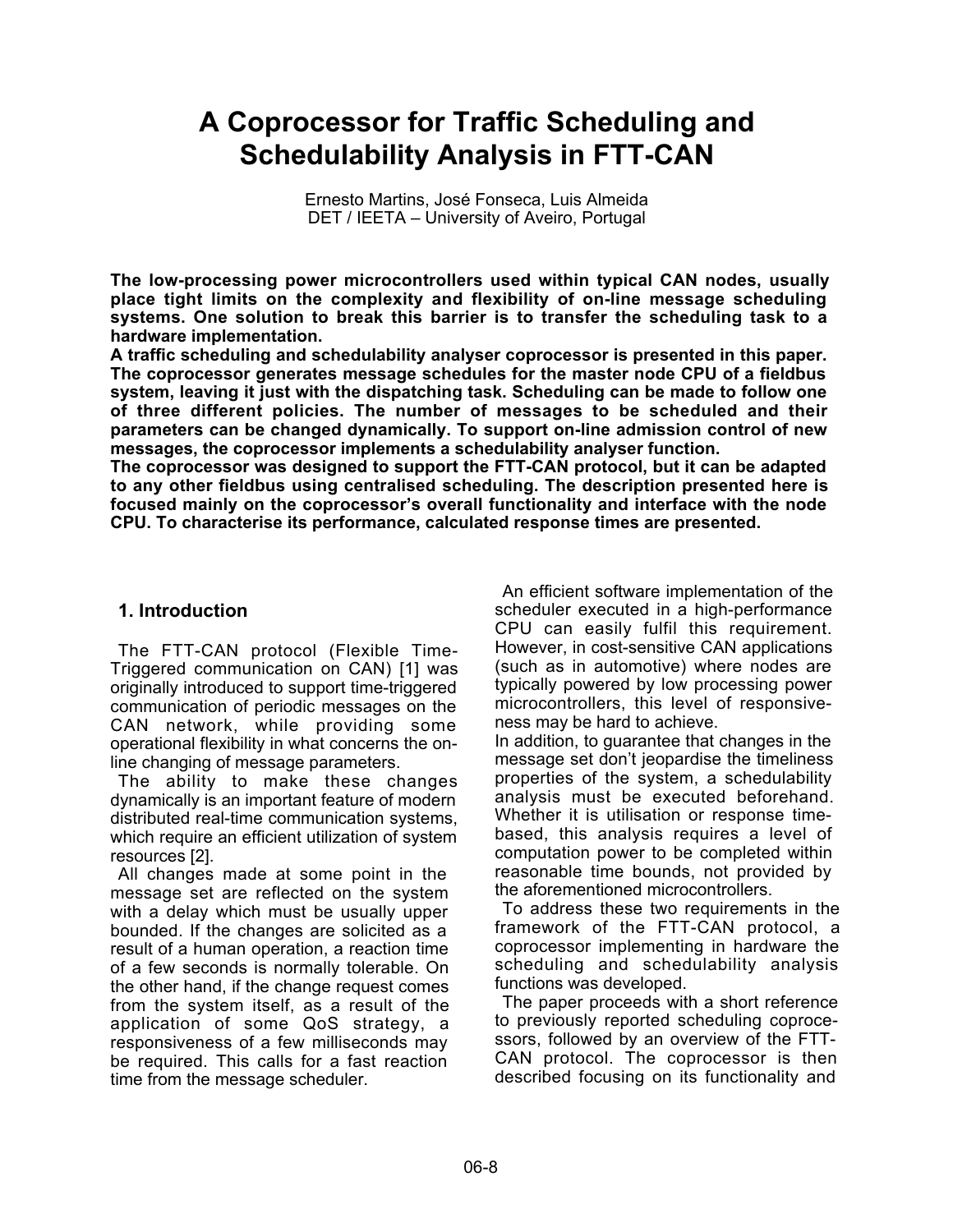# **A Coprocessor for Traffic Scheduling and Schedulability Analysis in FTT-CAN**

Ernesto Martins, José Fonseca, Luis Almeida DET / IEETA – University of Aveiro, Portugal

**The low-processing power microcontrollers used within typical CAN nodes, usually place tight limits on the complexity and flexibility of on-line message scheduling systems. One solution to break this barrier is to transfer the scheduling task to a hardware implementation.**

**A traffic scheduling and schedulability analyser coprocessor is presented in this paper. The coprocessor generates message schedules for the master node CPU of a fieldbus system, leaving it just with the dispatching task. Scheduling can be made to follow one of three different policies. The number of messages to be scheduled and their parameters can be changed dynamically. To support on-line admission control of new messages, the coprocessor implements a schedulability analyser function.**

**The coprocessor was designed to support the FTT-CAN protocol, but it can be adapted to any other fieldbus using centralised scheduling. The description presented here is focused mainly on the coprocessor's overall functionality and interface with the node CPU. To characterise its performance, calculated response times are presented.**

## **1. Introduction**

The FTT-CAN protocol (Flexible Time-Triggered communication on CAN) [1] was originally introduced to support time-triggered communication of periodic messages on the CAN network, while providing some operational flexibility in what concerns the online changing of message parameters.

The ability to make these changes dynamically is an important feature of modern distributed real-time communication systems, which require an efficient utilization of system resources [2].

All changes made at some point in the message set are reflected on the system with a delay which must be usually upper bounded. If the changes are solicited as a result of a human operation, a reaction time of a few seconds is normally tolerable. On the other hand, if the change request comes from the system itself, as a result of the application of some QoS strategy, a responsiveness of a few milliseconds may be required. This calls for a fast reaction time from the message scheduler.

An efficient software implementation of the scheduler executed in a high-performance CPU can easily fulfil this requirement. However, in cost-sensitive CAN applications (such as in automotive) where nodes are typically powered by low processing power microcontrollers, this level of responsiveness may be hard to achieve.

In addition, to guarantee that changes in the message set don't jeopardise the timeliness properties of the system, a schedulability analysis must be executed beforehand. Whether it is utilisation or response timebased, this analysis requires a level of computation power to be completed within reasonable time bounds, not provided by the aforementioned microcontrollers.

To address these two requirements in the framework of the FTT-CAN protocol, a coprocessor implementing in hardware the scheduling and schedulability analysis functions was developed.

The paper proceeds with a short reference to previously reported scheduling coprocessors, followed by an overview of the FTT-CAN protocol. The coprocessor is then described focusing on its functionality and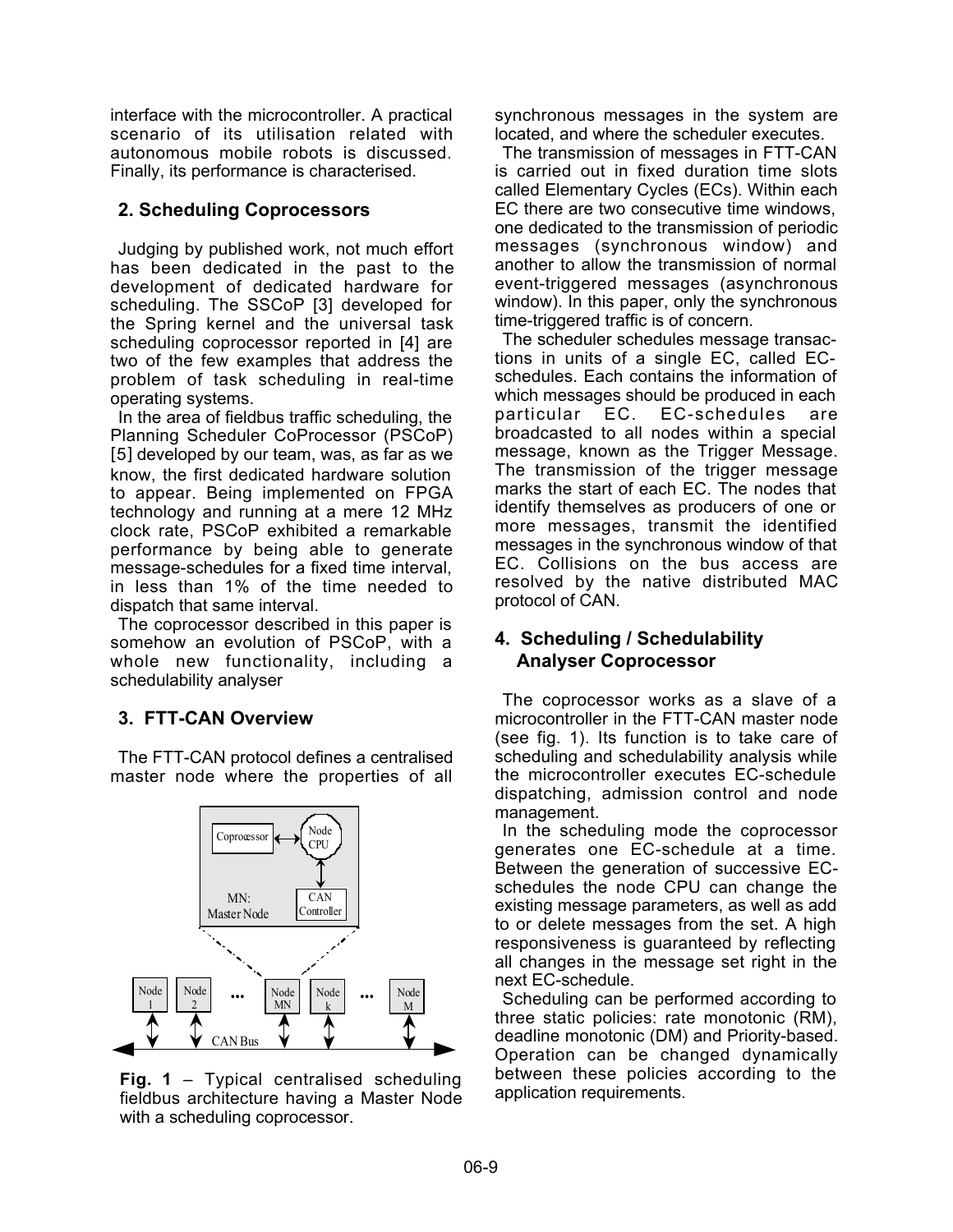interface with the microcontroller. A practical scenario of its utilisation related with autonomous mobile robots is discussed. Finally, its performance is characterised.

# **2. Scheduling Coprocessors**

Judging by published work, not much effort has been dedicated in the past to the development of dedicated hardware for scheduling. The SSCoP [3] developed for the Spring kernel and the universal task scheduling coprocessor reported in [4] are two of the few examples that address the problem of task scheduling in real-time operating systems.

In the area of fieldbus traffic scheduling, the Planning Scheduler CoProcessor (PSCoP) [5] developed by our team, was, as far as we know, the first dedicated hardware solution to appear. Being implemented on FPGA technology and running at a mere 12 MHz clock rate, PSCoP exhibited a remarkable performance by being able to generate message-schedules for a fixed time interval, in less than 1% of the time needed to dispatch that same interval.

The coprocessor described in this paper is somehow an evolution of PSCoP, with a whole new functionality, including a schedulability analyser

# **3. FTT-CAN Overview**

The FTT-CAN protocol defines a centralised master node where the properties of all



**Fig. 1** – Typical centralised scheduling fieldbus architecture having a Master Node with a scheduling coprocessor.

synchronous messages in the system are located, and where the scheduler executes.

The transmission of messages in FTT-CAN is carried out in fixed duration time slots called Elementary Cycles (ECs). Within each EC there are two consecutive time windows, one dedicated to the transmission of periodic messages (synchronous window) and another to allow the transmission of normal event-triggered messages (asynchronous window). In this paper, only the synchronous time-triggered traffic is of concern.

The scheduler schedules message transactions in units of a single EC, called ECschedules. Each contains the information of which messages should be produced in each particular EC. EC-schedules are broadcasted to all nodes within a special message, known as the Trigger Message. The transmission of the trigger message marks the start of each EC. The nodes that identify themselves as producers of one or more messages, transmit the identified messages in the synchronous window of that EC. Collisions on the bus access are resolved by the native distributed MAC protocol of CAN.

# **4. Scheduling / Schedulability Analyser Coprocessor**

The coprocessor works as a slave of a microcontroller in the FTT-CAN master node (see fig. 1). Its function is to take care of scheduling and schedulability analysis while the microcontroller executes EC-schedule dispatching, admission control and node management.

In the scheduling mode the coprocessor generates one EC-schedule at a time. Between the generation of successive ECschedules the node CPU can change the existing message parameters, as well as add to or delete messages from the set. A high responsiveness is guaranteed by reflecting all changes in the message set right in the next EC-schedule.

Scheduling can be performed according to three static policies: rate monotonic (RM), deadline monotonic (DM) and Priority-based. Operation can be changed dynamically between these policies according to the application requirements.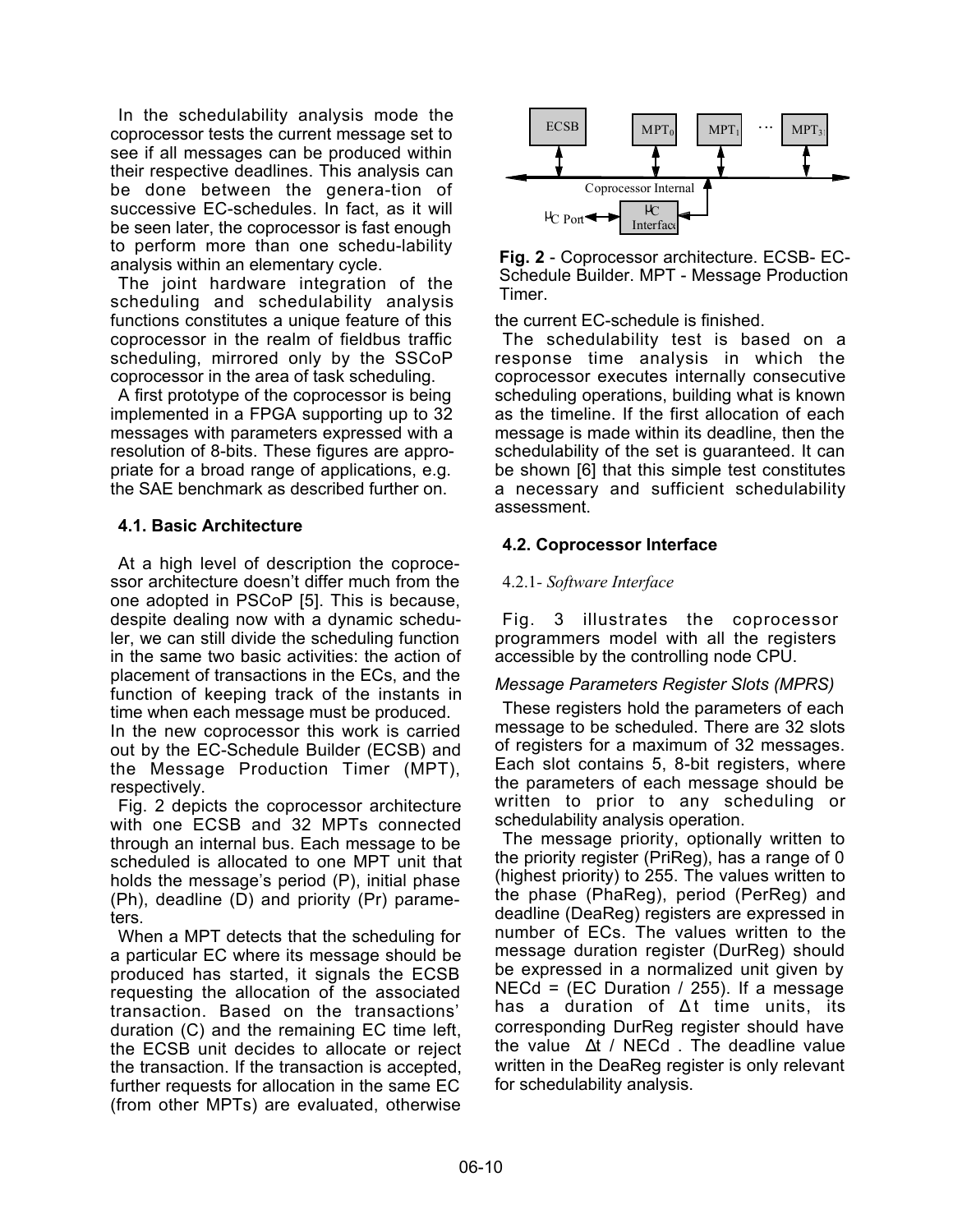In the schedulability analysis mode the coprocessor tests the current message set to see if all messages can be produced within their respective deadlines. This analysis can be done between the genera-tion of successive EC-schedules. In fact, as it will be seen later, the coprocessor is fast enough to perform more than one schedu-lability analysis within an elementary cycle.

The joint hardware integration of the scheduling and schedulability analysis functions constitutes a unique feature of this coprocessor in the realm of fieldbus traffic scheduling, mirrored only by the SSCoP coprocessor in the area of task scheduling.

A first prototype of the coprocessor is being implemented in a FPGA supporting up to 32 messages with parameters expressed with a resolution of 8-bits. These figures are appropriate for a broad range of applications, e.g. the SAE benchmark as described further on.

## **4.1. Basic Architecture**

At a high level of description the coprocessor architecture doesn't differ much from the one adopted in PSCoP [5]. This is because, despite dealing now with a dynamic scheduler, we can still divide the scheduling function in the same two basic activities: the action of placement of transactions in the ECs, and the function of keeping track of the instants in time when each message must be produced.

In the new coprocessor this work is carried out by the EC-Schedule Builder (ECSB) and the Message Production Timer (MPT), respectively.

Fig. 2 depicts the coprocessor architecture with one ECSB and 32 MPTs connected through an internal bus. Each message to be scheduled is allocated to one MPT unit that holds the message's period (P), initial phase (Ph), deadline (D) and priority (Pr) parameters.

When a MPT detects that the scheduling for a particular EC where its message should be produced has started, it signals the ECSB requesting the allocation of the associated transaction. Based on the transactions' duration (C) and the remaining EC time left, the ECSB unit decides to allocate or reject the transaction. If the transaction is accepted, further requests for allocation in the same EC (from other MPTs) are evaluated, otherwise



**Fig. 2** - Coprocessor architecture. ECSB- EC-Schedule Builder. MPT - Message Production Timer.

the current EC-schedule is finished.

The schedulability test is based on a response time analysis in which the coprocessor executes internally consecutive scheduling operations, building what is known as the timeline. If the first allocation of each message is made within its deadline, then the schedulability of the set is guaranteed. It can be shown [6] that this simple test constitutes a necessary and sufficient schedulability assessment.

## **4.2. Coprocessor Interface**

### 4.2.1*- Software Interface*

Fig. 3 illustrates the coprocessor programmers model with all the registers accessible by the controlling node CPU.

#### *Message Parameters Register Slots (MPRS)*

These registers hold the parameters of each message to be scheduled. There are 32 slots of registers for a maximum of 32 messages. Each slot contains 5, 8-bit registers, where the parameters of each message should be written to prior to any scheduling or schedulability analysis operation.

The message priority, optionally written to the priority register (PriReg), has a range of 0 (highest priority) to 255. The values written to the phase (PhaReg), period (PerReg) and deadline (DeaReg) registers are expressed in number of ECs. The values written to the message duration register (DurReg) should be expressed in a normalized unit given by  $NECd = (EC\;Duration / 255)$ . If a message has a duration of ∆t time units, its corresponding DurReg register should have the value  $\lceil \Delta t \rceil$  NECd. The deadline value written in the DeaReg register is only relevant for schedulability analysis.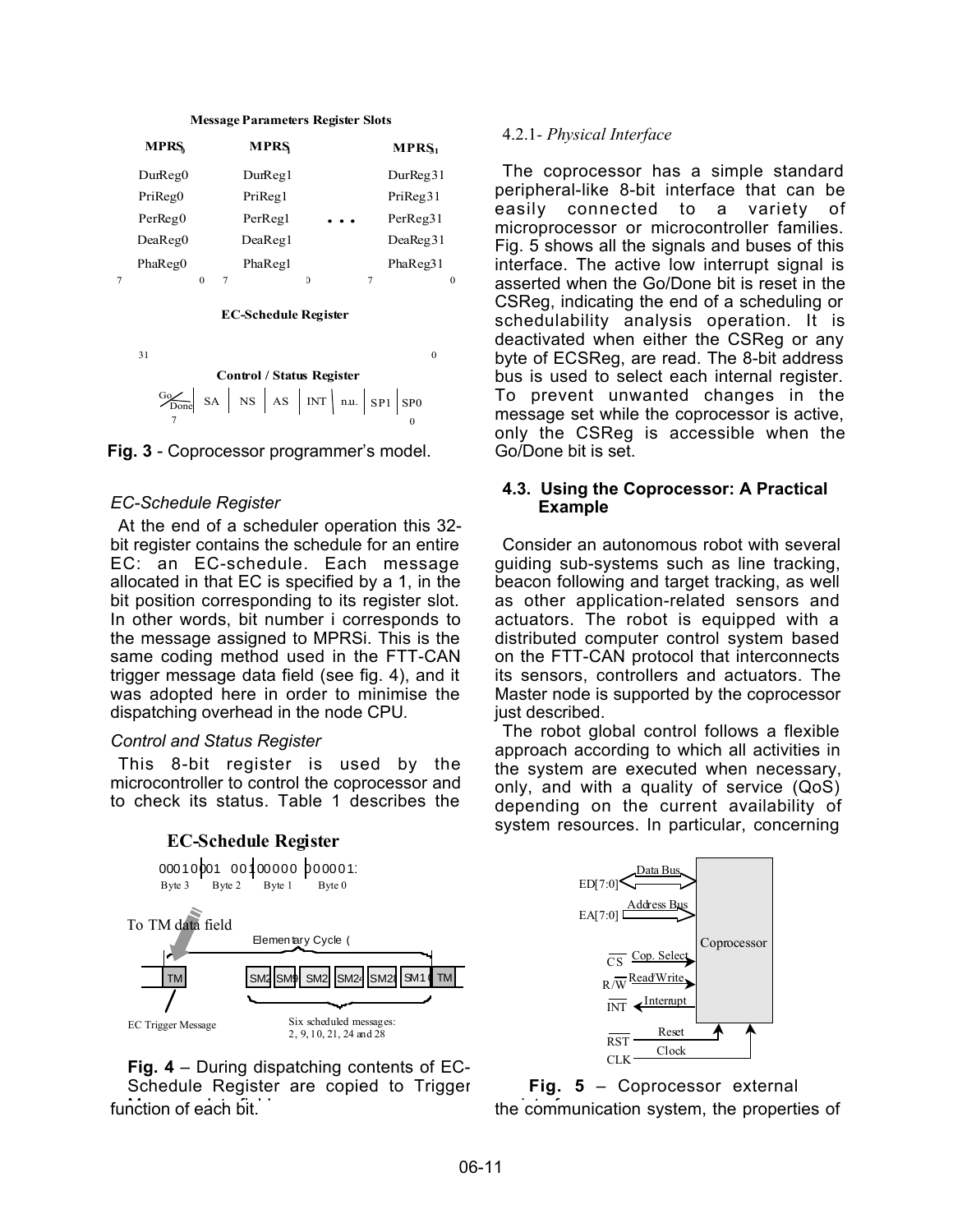| <b>MPRS</b> |  | <b>MPRS</b> |                      | MPRS <sub>1</sub> |
|-------------|--|-------------|----------------------|-------------------|
| DurReg0     |  | DurReg1     |                      | DurReg31          |
| PriReg0     |  | PriReg1     |                      | PriReg31          |
| PerReg0     |  | PerRegl     | $\ddot{\phantom{a}}$ | PerReg31          |
| DeaReg0     |  | DeaReg1     |                      | DeaReg31          |
| PhaReg0     |  | PhaReg1     |                      | PhaReg31          |
|             |  |             |                      |                   |

#### **Message Parameters Register Slots**



 $31$  0 **Control / Status Register**  $\frac{G_0}{Done}$  SA | NS |  $\frac{G_0}{D}$  SA NS AS INT n.u.  $S_{P1}$  SP0  $\overline{7}$  0



#### *EC-Schedule Register*

At the end of a scheduler operation this 32 bit register contains the schedule for an entire EC: an EC-schedule. Each message allocated in that EC is specified by a 1, in the bit position corresponding to its register slot. In other words, bit number i corresponds to the message assigned to MPRSi. This is the same coding method used in the FTT-CAN trigger message data field (see fig. 4), and it was adopted here in order to minimise the dispatching overhead in the node CPU*.*

#### *Control and Status Register*

This 8-bit register is used by the microcontroller to control the coprocessor and to check its status. Table 1 describes the

#### **EC-Schedule Register**



# **Fig. 4** – During dispatching contents of EC-

function of each bit. Schedule Register are copied to Trigger

#### 4.2.1*- Physical Interface*

The coprocessor has a simple standard peripheral-like 8-bit interface that can be easily connected to a variety of microprocessor or microcontroller families. Fig. 5 shows all the signals and buses of this interface. The active low interrupt signal is asserted when the Go/Done bit is reset in the CSReg, indicating the end of a scheduling or schedulability analysis operation. It is deactivated when either the CSReg or any byte of ECSReg, are read. The 8-bit address bus is used to select each internal register. To prevent unwanted changes in the message set while the coprocessor is active, only the CSReg is accessible when the Go/Done bit is set.

#### **4.3. Using the Coprocessor: A Practical Example**

Consider an autonomous robot with several guiding sub-systems such as line tracking, beacon following and target tracking, as well as other application-related sensors and actuators. The robot is equipped with a distributed computer control system based on the FTT-CAN protocol that interconnects its sensors, controllers and actuators. The Master node is supported by the coprocessor just described.

The robot global control follows a flexible approach according to which all activities in the system are executed when necessary, only, and with a quality of service (QoS) depending on the current availability of system resources. In particular, concerning



the communication system, the properties of  $\overline{a}$ **Fig. 5** – Coprocessor external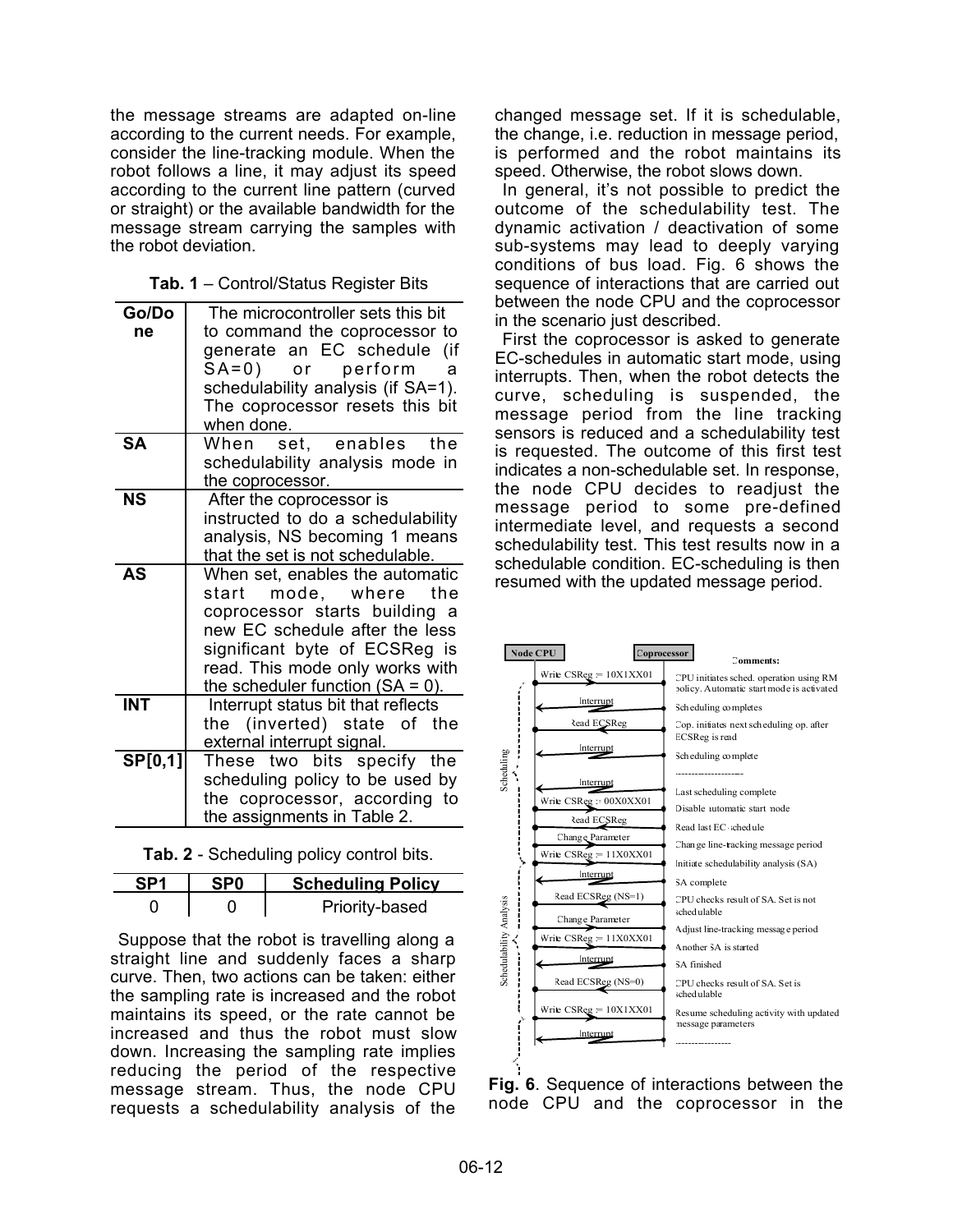the message streams are adapted on-line according to the current needs. For example, consider the line-tracking module. When the robot follows a line, it may adjust its speed according to the current line pattern (curved or straight) or the available bandwidth for the message stream carrying the samples with the robot deviation.

| Tab. 1 - Control/Status Register Bits |  |
|---------------------------------------|--|
|---------------------------------------|--|

| Go/Do      | The microcontroller sets this bit   |  |  |  |  |
|------------|-------------------------------------|--|--|--|--|
| ne         | to command the coprocessor to       |  |  |  |  |
|            | generate an EC schedule (if         |  |  |  |  |
|            | SA=0) or perform<br>a               |  |  |  |  |
|            | schedulability analysis (if SA=1).  |  |  |  |  |
|            |                                     |  |  |  |  |
|            | The coprocessor resets this bit     |  |  |  |  |
| <b>SA</b>  | when done.                          |  |  |  |  |
|            | set, enables<br>the<br>When         |  |  |  |  |
|            | schedulability analysis mode in     |  |  |  |  |
|            | the coprocessor.                    |  |  |  |  |
| <b>NS</b>  | After the coprocessor is            |  |  |  |  |
|            | instructed to do a schedulability   |  |  |  |  |
|            | analysis, NS becoming 1 means       |  |  |  |  |
|            | that the set is not schedulable.    |  |  |  |  |
| <b>AS</b>  | When set, enables the automatic     |  |  |  |  |
|            | start mode, where the               |  |  |  |  |
|            | coprocessor starts building a       |  |  |  |  |
|            | new EC schedule after the less      |  |  |  |  |
|            | significant byte of ECSReg is       |  |  |  |  |
|            | read. This mode only works with     |  |  |  |  |
|            | the scheduler function $(SA = 0)$ . |  |  |  |  |
| <b>INT</b> | Interrupt status bit that reflects  |  |  |  |  |
|            | the (inverted) state of the         |  |  |  |  |
|            | external interrupt signal.          |  |  |  |  |
| SP[0,1]    | These two bits specify the          |  |  |  |  |
|            | scheduling policy to be used by     |  |  |  |  |
|            | the coprocessor, according to       |  |  |  |  |
|            |                                     |  |  |  |  |
|            | the assignments in Table 2.         |  |  |  |  |

**Tab. 2** - Scheduling policy control bits.

|  | <b>Scheduling Policy</b> |  |  |  |
|--|--------------------------|--|--|--|
|  | Priority-based           |  |  |  |

Suppose that the robot is travelling along a straight line and suddenly faces a sharp curve. Then, two actions can be taken: either the sampling rate is increased and the robot maintains its speed, or the rate cannot be increased and thus the robot must slow down. Increasing the sampling rate implies reducing the period of the respective message stream. Thus, the node CPU requests a schedulability analysis of the

changed message set. If it is schedulable, the change, i.e. reduction in message period, is performed and the robot maintains its speed. Otherwise, the robot slows down.

In general, it's not possible to predict the outcome of the schedulability test. The dynamic activation / deactivation of some sub-systems may lead to deeply varying conditions of bus load. Fig. 6 shows the sequence of interactions that are carried out between the node CPU and the coprocessor in the scenario just described.

First the coprocessor is asked to generate EC-schedules in automatic start mode, using interrupts. Then, when the robot detects the curve, scheduling is suspended, the message period from the line tracking sensors is reduced and a schedulability test is requested. The outcome of this first test indicates a non-schedulable set. In response, the node CPU decides to readjust the message period to some pre-defined intermediate level, and requests a second schedulability test. This test results now in a schedulable condition. EC-scheduling is then resumed with the updated message period.



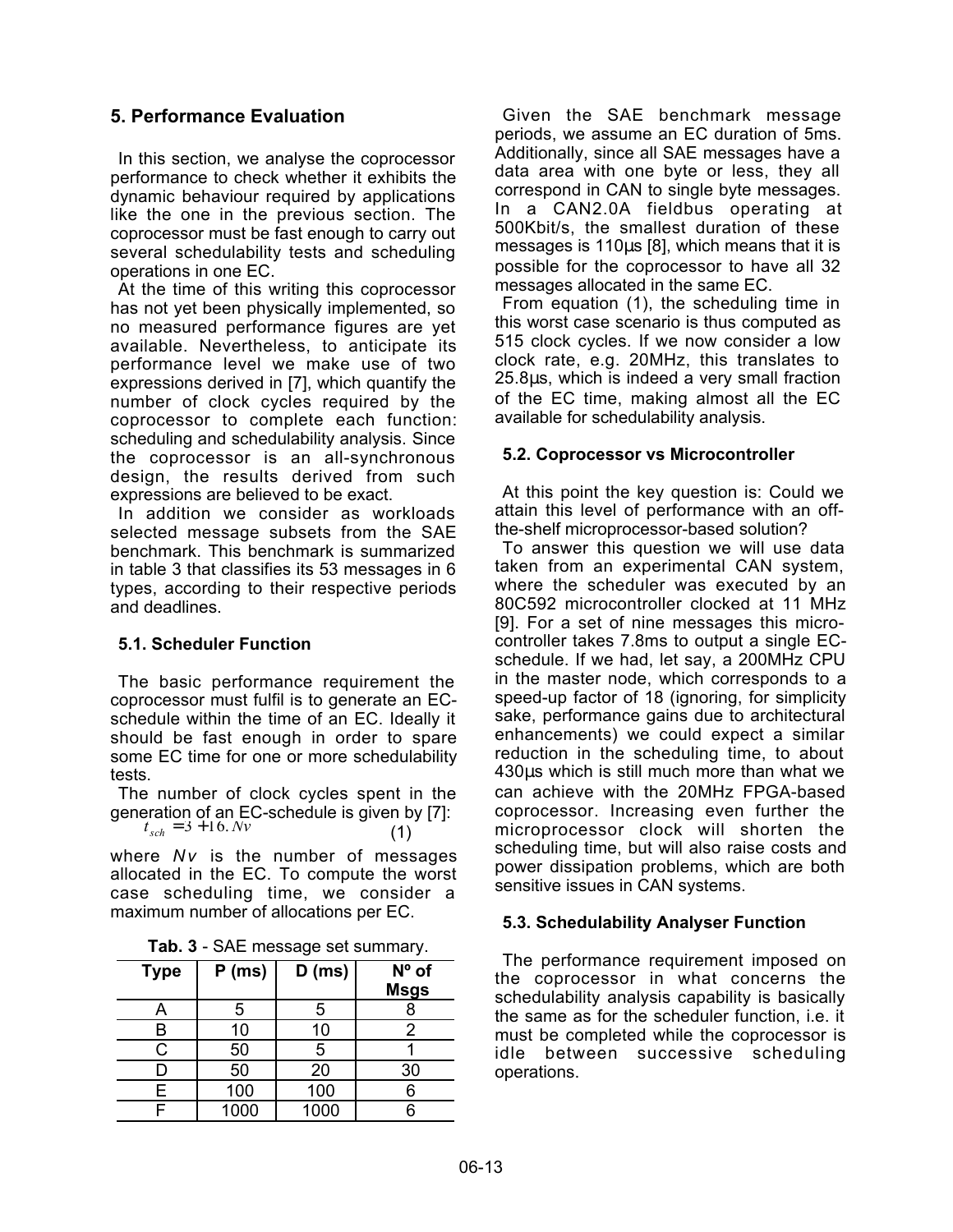# **5. Performance Evaluation**

In this section, we analyse the coprocessor performance to check whether it exhibits the dynamic behaviour required by applications like the one in the previous section. The coprocessor must be fast enough to carry out several schedulability tests and scheduling operations in one EC.

At the time of this writing this coprocessor has not yet been physically implemented, so no measured performance figures are yet available. Nevertheless, to anticipate its performance level we make use of two expressions derived in [7], which quantify the number of clock cycles required by the coprocessor to complete each function: scheduling and schedulability analysis. Since the coprocessor is an all-synchronous design, the results derived from such expressions are believed to be exact.

In addition we consider as workloads selected message subsets from the SAE benchmark. This benchmark is summarized in table 3 that classifies its 53 messages in 6 types, according to their respective periods and deadlines.

## **5.1. Scheduler Function**

The basic performance requirement the coprocessor must fulfil is to generate an ECschedule within the time of an EC. Ideally it should be fast enough in order to spare some EC time for one or more schedulability tests.

The number of clock cycles spent in the generation of an EC-schedule is given by [7]:  $t_{sch} = 3 + 16. Nv$  (1)

where *Nv* is the number of messages allocated in the EC. To compute the worst case scheduling time, we consider a maximum number of allocations per EC.

| Tab. 3 - SAE message set summary. |  |
|-----------------------------------|--|
|-----------------------------------|--|

| ີ           |          |          |                               |  |  |
|-------------|----------|----------|-------------------------------|--|--|
| <b>Type</b> | $P$ (ms) | $D$ (ms) | $N^{\circ}$ of<br><b>Msgs</b> |  |  |
| Α           | 5        | 5        |                               |  |  |
| B           | 10       | 10       | 2                             |  |  |
| С           | 50       | 5        |                               |  |  |
|             | 50       | 20       | 30                            |  |  |
| E           | 100      | 100      |                               |  |  |
|             | 1000     | 1000     |                               |  |  |

Given the SAE benchmark message periods, we assume an EC duration of 5ms. Additionally, since all SAE messages have a data area with one byte or less, they all correspond in CAN to single byte messages. In a CAN2.0A fieldbus operating at 500Kbit/s, the smallest duration of these messages is 110µs [8], which means that it is possible for the coprocessor to have all 32 messages allocated in the same EC.

From equation (1), the scheduling time in this worst case scenario is thus computed as 515 clock cycles. If we now consider a low clock rate, e.g. 20MHz, this translates to 25.8µs, which is indeed a very small fraction of the EC time, making almost all the EC available for schedulability analysis.

## **5.2. Coprocessor vs Microcontroller**

At this point the key question is: Could we attain this level of performance with an offthe-shelf microprocessor-based solution?

To answer this question we will use data taken from an experimental CAN system, where the scheduler was executed by an 80C592 microcontroller clocked at 11 MHz [9]. For a set of nine messages this microcontroller takes 7.8ms to output a single ECschedule. If we had, let say, a 200MHz CPU in the master node, which corresponds to a speed-up factor of 18 (ignoring, for simplicity sake, performance gains due to architectural enhancements) we could expect a similar reduction in the scheduling time, to about 430µs which is still much more than what we can achieve with the 20MHz FPGA-based coprocessor. Increasing even further the microprocessor clock will shorten the scheduling time, but will also raise costs and power dissipation problems, which are both sensitive issues in CAN systems.

## **5.3. Schedulability Analyser Function**

The performance requirement imposed on the coprocessor in what concerns the schedulability analysis capability is basically the same as for the scheduler function, i.e. it must be completed while the coprocessor is idle between successive scheduling operations.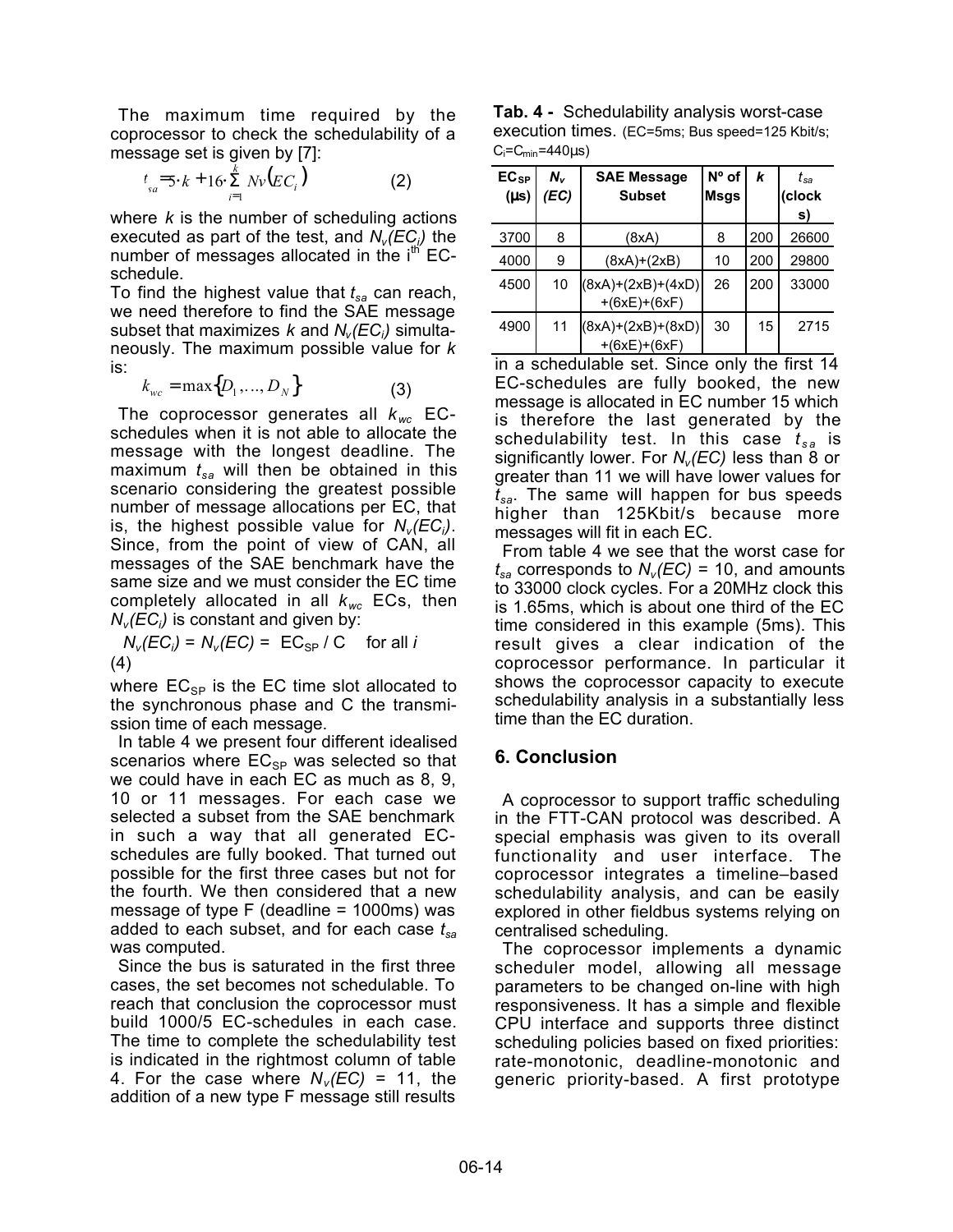The maximum time required by the coprocessor to check the schedulability of a message set is given by [7]:

$$
t_{sa} = 5 \cdot k + 16 \cdot \sum_{i=1}^{k} Nv \big( EC_i \big)
$$
 (2)

where *k* is the number of scheduling actions executed as part of the test, and  $N_v(\cancel{E} \textbf{\emph{C}}_{\!\scriptscriptstyle (j)})$  the number of messages allocated in the  $i<sup>th</sup>$  ECschedule.

To find the highest value that *tsa* can reach, we need therefore to find the SAE message subset that maximizes *k* and *Nv(ECi )* simultaneously. The maximum possible value for *k* is:

$$
k_{wc} = \max\{D_1, \dots, D_N\}
$$
 (3)

The coprocessor generates all *k wc* ECschedules when it is not able to allocate the message with the longest deadline. The maximum  $t_{sa}$  will then be obtained in this scenario considering the greatest possible number of message allocations per EC, that is, the highest possible value for *Nv(ECi )*. Since, from the point of view of CAN, all messages of the SAE benchmark have the same size and we must consider the EC time completely allocated in all *kwc* ECs, then  $N_{\scriptscriptstyle V}(\cancel{EC}_i)$  is constant and given by:

 $N_v(EC_i) = N_v(EC) = \lfloor EC_{SP} / C \rfloor$  for all *i* (4)

where  $EC_{SP}$  is the EC time slot allocated to the synchronous phase and C the transmission time of each message.

In table 4 we present four different idealised scenarios where  $EC_{SP}$  was selected so that we could have in each EC as much as 8, 9, 10 or 11 messages. For each case we selected a subset from the SAE benchmark in such a way that all generated ECschedules are fully booked. That turned out possible for the first three cases but not for the fourth. We then considered that a new message of type F (deadline = 1000ms) was added to each subset, and for each case *tsa* was computed.

Since the bus is saturated in the first three cases, the set becomes not schedulable. To reach that conclusion the coprocessor must build 1000/5 EC-schedules in each case. The time to complete the schedulability test is indicated in the rightmost column of table 4. For the case where  $N_v(EC) = 11$ , the addition of a new type F message still results

**Tab. 4 -** Schedulability analysis worst-case execution times. (EC=5ms; Bus speed=125 Kbit/s;  $C_i=C_{min}=440\mu s$ )

| $EC_{SP}$<br>$(\mu s)$ | $N_{\rm v}$<br>(EC) | <b>SAE Message</b><br><b>Subset</b>   | Nº of<br>Msgs | k   | t <sub>sa</sub><br>(clock<br>s) |
|------------------------|---------------------|---------------------------------------|---------------|-----|---------------------------------|
| 3700                   | 8                   | (8xA)                                 | 8             | 200 | 26600                           |
| 4000                   | 9                   | $(8xA)+(2xB)$                         | 10            | 200 | 29800                           |
| 4500                   | 10                  | $(8xA)+(2xB)+(4xD)$<br>$+(6xE)+(6xF)$ | 26            | 200 | 33000                           |
| 4900                   | 11                  | $(8xA)+(2xB)+(8xD)$<br>$+(6xE)+(6xF)$ | 30            | 15  | 2715                            |

in a schedulable set. Since only the first 14 EC-schedules are fully booked, the new message is allocated in EC number 15 which is therefore the last generated by the schedulability test. In this case *t s a* is significantly lower. For  $N_v(EC)$  less than 8 or greater than 11 we will have lower values for *tsa*. The same will happen for bus speeds higher than 125Kbit/s because more messages will fit in each EC.

From table 4 we see that the worst case for  $t_{sa}$  corresponds to  $N_v(EC) = 10$ , and amounts to 33000 clock cycles. For a 20MHz clock this is 1.65ms, which is about one third of the EC time considered in this example (5ms). This result gives a clear indication of the coprocessor performance. In particular it shows the coprocessor capacity to execute schedulability analysis in a substantially less time than the EC duration.

# **6. Conclusion**

A coprocessor to support traffic scheduling in the FTT-CAN protocol was described. A special emphasis was given to its overall functionality and user interface. The coprocessor integrates a timeline–based schedulability analysis, and can be easily explored in other fieldbus systems relying on centralised scheduling.

The coprocessor implements a dynamic scheduler model, allowing all message parameters to be changed on-line with high responsiveness. It has a simple and flexible CPU interface and supports three distinct scheduling policies based on fixed priorities: rate-monotonic, deadline-monotonic and generic priority-based. A first prototype